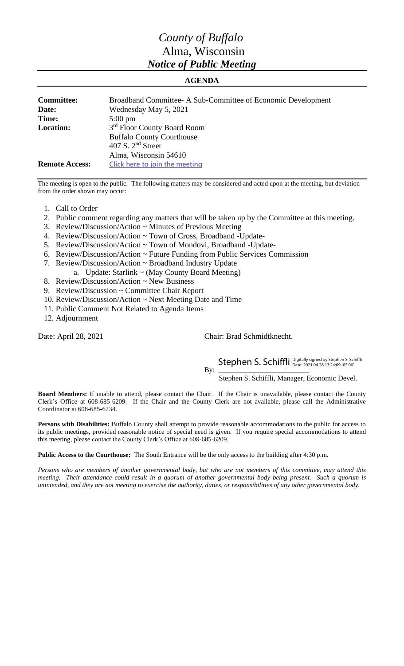## *County of Buffalo* Alma, Wisconsin *Notice of Public Meeting*

## **AGENDA**

| <b>Committee:</b><br>Date:<br>Time: | Broadband Committee-A Sub-Committee of Economic Development<br>Wednesday May 5, 2021<br>$5:00 \text{ pm}$ |
|-------------------------------------|-----------------------------------------------------------------------------------------------------------|
| <b>Location:</b>                    | 3 <sup>rd</sup> Floor County Board Room<br><b>Buffalo County Courthouse</b><br>407 S. $2nd$ Street        |
| <b>Remote Access:</b>               | Alma, Wisconsin 54610<br>Click here to join the meeting                                                   |

The meeting is open to the public. The following matters may be considered and acted upon at the meeting, but deviation from the order shown may occur:

- 1. Call to Order
- 2. Public comment regarding any matters that will be taken up by the Committee at this meeting.
- 3. Review/Discussion/Action ~ Minutes of Previous Meeting
- 4. Review/Discussion/Action ~ Town of Cross, Broadband -Update-
- 5. Review/Discussion/Action ~ Town of Mondovi, Broadband -Update-
- 6. Review/Discussion/Action ~ Future Funding from Public Services Commission
- 7. Review/Discussion/Action ~ Broadband Industry Update
- a. Update: Starlink ~ (May County Board Meeting)
- 8. Review/Discussion/Action ~ New Business
- 9. Review/Discussion ~ Committee Chair Report
- 10. Review/Discussion/Action ~ Next Meeting Date and Time
- 11. Public Comment Not Related to Agenda Items
- 12. Adjournment

Date: April 28, 2021 Chair: Brad Schmidtknecht.

By:  $\frac{1}{\sqrt{2}}$ 

Stephen S. Schiffli Digitally signed by Stephen S. Schiffli

Stephen S. Schiffli, Manager, Economic Devel.

**Board Members:** If unable to attend, please contact the Chair. If the Chair is unavailable, please contact the County Clerk's Office at 608-685-6209. If the Chair and the County Clerk are not available, please call the Administrative Coordinator at 608-685-6234.

**Persons with Disabilities:** Buffalo County shall attempt to provide reasonable accommodations to the public for access to its public meetings, provided reasonable notice of special need is given. If you require special accommodations to attend this meeting, please contact the County Clerk's Office at 608-685-6209.

**Public Access to the Courthouse:** The South Entrance will be the only access to the building after 4:30 p.m.

*Persons who are members of another governmental body, but who are not members of this committee, may attend this meeting. Their attendance could result in a quorum of another governmental body being present. Such a quorum is unintended, and they are not meeting to exercise the authority, duties, or responsibilities of any other governmental body.*